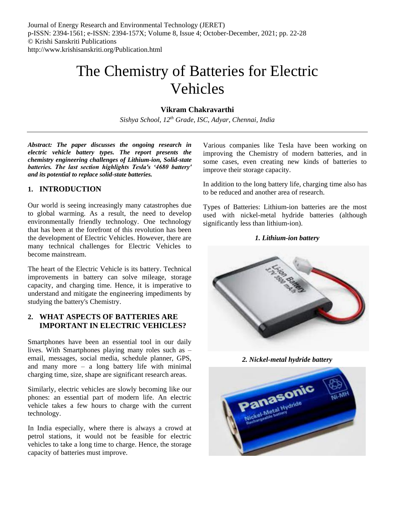# The Chemistry of Batteries for Electric Vehicles

# **Vikram Chakravarthi**

*Sishya School, 12th Grade, ISC, Adyar, Chennai, India*

*Abstract: The paper discusses the ongoing research in electric vehicle battery types. The report presents the chemistry engineering challenges of Lithium-ion, Solid-state batteries. The last section highlights Tesla's '4680 battery' and its potential to replace solid-state batteries.*

## **1. INTRODUCTION**

Our world is seeing increasingly many catastrophes due to global warming. As a result, the need to develop environmentally friendly technology. One technology that has been at the forefront of this revolution has been the development of Electric Vehicles. However, there are many technical challenges for Electric Vehicles to become mainstream.

The heart of the Electric Vehicle is its battery. Technical improvements in battery can solve mileage, storage capacity, and charging time. Hence, it is imperative to understand and mitigate the engineering impediments by studying the battery's Chemistry.

## **2. WHAT ASPECTS OF BATTERIES ARE IMPORTANT IN ELECTRIC VEHICLES?**

Smartphones have been an essential tool in our daily lives. With Smartphones playing many roles such as – email, messages, social media, schedule planner, GPS, and many more – a long battery life with minimal charging time, size, shape are significant research areas.

Similarly, electric vehicles are slowly becoming like our phones: an essential part of modern life. An electric vehicle takes a few hours to charge with the current technology.

In India especially, where there is always a crowd at petrol stations, it would not be feasible for electric vehicles to take a long time to charge. Hence, the storage capacity of batteries must improve.

Various companies like Tesla have been working on improving the Chemistry of modern batteries, and in some cases, even creating new kinds of batteries to improve their storage capacity.

In addition to the long battery life, charging time also has to be reduced and another area of research.

Types of Batteries: Lithium-ion batteries are the most used with nickel-metal hydride batteries (although significantly less than lithium-ion).

## *1. Lithium-ion battery*



*2. Nickel-metal hydride battery*

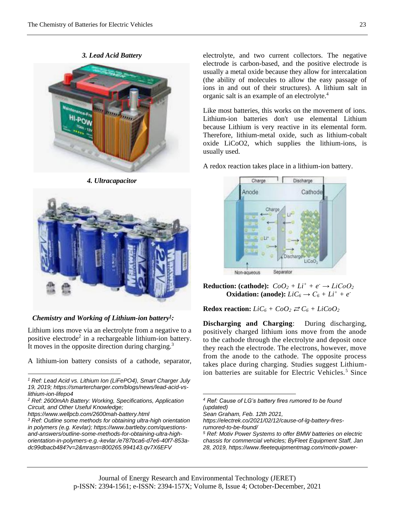*3. Lead Acid Battery*



*4. Ultracapacitor*



*Chemistry and Working of Lithium-ion battery<sup>1</sup> :* 

Lithium ions move via an electrolyte from a negative to a positive electrode<sup>2</sup> in a rechargeable lithium-ion battery. It moves in the opposite direction during charging.<sup>3</sup>

A lithium-ion battery consists of a cathode, separator,

electrolyte, and two current collectors. The negative electrode is carbon-based, and the positive electrode is usually a metal oxide because they allow for intercalation (the ability of molecules to allow the easy passage of ions in and out of their structures). A lithium salt in organic salt is an example of an electrolyte.<sup>4</sup>

Like most batteries, this works on the movement of ions. Lithium-ion batteries don't use elemental Lithium because Lithium is very reactive in its elemental form. Therefore, lithium-metal oxide, such as lithium-cobalt oxide LiCoO2, which supplies the lithium-ions, is usually used.

A redox reaction takes place in a lithium-ion battery.



**Reduction:** (cathode):  $CoO_2 + Li^+ + e^- \rightarrow LiCoO_2$ **Oxidation:** (anode):  $LiC_6 \rightarrow C_6 + Li^+ + e^-$ 

**Redox reaction:**  $LiC_6 + CoO_2 \rightleftarrows C_6 + LiCoO_2$ 

**Discharging and Charging**: During discharging, positively charged lithium ions move from the anode to the cathode through the electrolyte and deposit once they reach the electrode. The electrons, however, move from the anode to the cathode. The opposite process takes place during charging. Studies suggest Lithiumion batteries are suitable for Electric Vehicles.<sup>5</sup> Since

*Sean Graham, Feb. 12th 2021,* 

```
https://electrek.co/2021/02/12/cause-of-lg-battery-fires-
rumored-to-be-found/
```
 $\overline{a}$ 

 $\overline{a}$ *<sup>1</sup> Ref: Lead Acid vs. Lithium Ion (LiFePO4), Smart Charger July 19, 2019; https://smartercharger.com/blogs/news/lead-acid-vslithium-ion-lifepo4*

*<sup>2</sup> Ref: 2600mAh Battery: Working, Specifications, Application Circuit, and Other Useful Knowledge;* 

*https://www.wellpcb.com/2600mah-battery.html*

*<sup>3</sup> Ref: Outline some methods for obtaining ultra-high orientation in polymers (e.g. Kevlar); https://www.bartleby.com/questionsand-answers/outline-some-methods-for-obtaining-ultra-highorientation-in-polymers-e.g.-kevlar./e787bca6-d7e6-40f7-853adc99dbacb484?v=2&mrasn=800265.994143.qv7X6EFV*

*<sup>4</sup> Ref: Cause of LG's battery fires rumored to be found (updated)*

*<sup>5</sup> Ref: Motiv Power Systems to offer BMW batteries on electric chassis for commercial vehicles; ByFleet Equipment Staff, Jan 28, 2019, https://www.fleetequipmentmag.com/motiv-power-*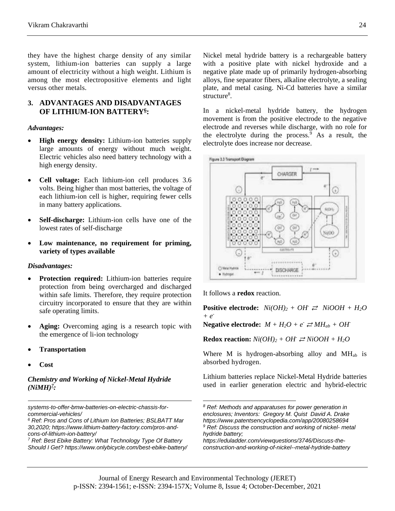they have the highest charge density of any similar system, lithium-ion batteries can supply a large amount of electricity without a high weight. Lithium is among the most electropositive elements and light versus other metals.

# **3. ADVANTAGES AND DISADVANTAGES OF LITHIUM-ION BATTERY<sup>6</sup> :**

#### *Advantages:*

- **High energy density:** Lithium-ion batteries supply large amounts of energy without much weight. Electric vehicles also need battery technology with a high energy density.
- **Cell voltage:** Each lithium-ion cell produces 3.6 volts. Being higher than most batteries, the voltage of each lithium-ion cell is higher, requiring fewer cells in many battery applications.
- **Self-discharge:** Lithium-ion cells have one of the lowest rates of self-discharge
- **Low maintenance, no requirement for priming, variety of types available**

#### *Disadvantages:*

- **Protection required:** Lithium-ion batteries require protection from being overcharged and discharged within safe limits. Therefore, they require protection circuitry incorporated to ensure that they are within safe operating limits.
- **Aging:** Overcoming aging is a research topic with the emergence of li-ion technology
- **Transportation**
- **Cost**

1

#### *Chemistry and Working of Nickel-Metal Hydride*   $(NiMH)^{7}$ :

*systems-to-offer-bmw-batteries-on-electric-chassis-forcommercial-vehicles/*

*<sup>7</sup> Ref: Best Ebike Battery: What Technology Type Of Battery Should I Get? https://www.onlybicycle.com/best-ebike-battery/* Nickel metal hydride battery is a rechargeable battery with a positive plate with nickel hydroxide and a negative plate made up of primarily hydrogen-absorbing alloys, fine separator fibers, alkaline electrolyte, a sealing plate, and metal casing. Ni-Cd batteries have a similar  $\text{structure}^8$ .

In a nickel-metal hydride battery, the hydrogen movement is from the positive electrode to the negative electrode and reverses while discharge, with no role for the electrolyte during the process. $9$  As a result, the electrolyte does increase nor decrease.



It follows a **redox** reaction.

**Positive electrode:**  $Ni(OH)_2 + OH \rightleftarrows NiOOH + H_2O$ *+ e-*

**Negative electrode:**  $M + H_2O + e^2 \geq M H_{ab} + OH^2$ 

**Redox reaction:**  $Ni(OH)_2 + OH \n\cong NiOOH + H_2O$ 

Where M is hydrogen-absorbing alloy and  $MH<sub>ab</sub>$  is absorbed hydrogen.

Lithium batteries replace Nickel-Metal Hydride batteries used in earlier generation electric and hybrid-electric

*<sup>6</sup> Ref: Pros and Cons of Lithium Ion Batteries; BSLBATT Mar 30,2020; https://www.lithium-battery-factory.com/pros-andcons-of-lithium-ion-battery/*

*<sup>8</sup> Ref: Methods and apparatuses for power generation in enclosures; Inventors: Gregory M. Quist David A. Drake https://www.patentsencyclopedia.com/app/20080258694 <sup>9</sup> Ref: Discuss the construction and working of nickel- metal hydride battery;* 

*https://eduladder.com/viewquestions/3746/Discuss-theconstruction-and-working-of-nickel--metal-hydride-battery*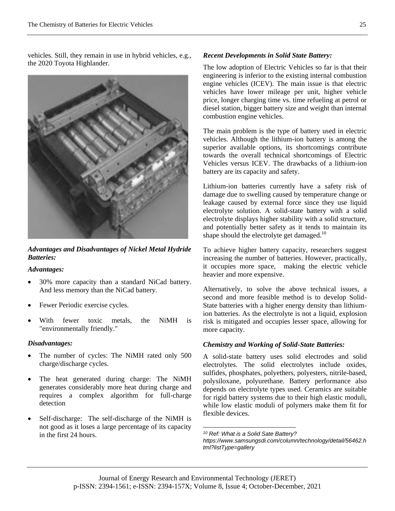vehicles. Still, they remain in use in hybrid vehicles, e.g., the 2020 Toyota Highlander.



*Advantages and Disadvantages of Nickel Metal Hydride Batteries:*

*Advantages:* 

- 30% more capacity than a standard NiCad battery. And less memory than the NiCad battery.
- Fewer Periodic exercise cycles.
- With fewer toxic metals, the NiMH is "environmentally friendly."

## *Disadvantages:*

- The number of cycles: The NiMH rated only 500 charge/discharge cycles.
- The heat generated during charge: The NiMH generates considerably more heat during charge and requires a complex algorithm for full-charge detection
- Self-discharge: The self-discharge of the NiMH is not good as it loses a large percentage of its capacity in the first 24 hours.

# *Recent Developments in Solid State Battery:*

The low adoption of Electric Vehicles so far is that their engineering is inferior to the existing internal combustion engine vehicles (ICEV). The main issue is that electric vehicles have lower mileage per unit, higher vehicle price, longer charging time vs. time refueling at petrol or diesel station, bigger battery size and weight than internal combustion engine vehicles.

The main problem is the type of battery used in electric vehicles. Although the lithium-ion battery is among the superior available options, its shortcomings contribute towards the overall technical shortcomings of Electric Vehicles versus ICEV. The drawbacks of a lithium-ion battery are its capacity and safety.

Lithium-ion batteries currently have a safety risk of damage due to swelling caused by temperature change or leakage caused by external force since they use liquid electrolyte solution. A solid-state battery with a solid electrolyte displays higher stability with a solid structure, and potentially better safety as it tends to maintain its shape should the electrolyte get damaged.<sup>10</sup>

To achieve higher battery capacity, researchers suggest increasing the number of batteries. However, practically, it occupies more space, making the electric vehicle heavier and more expensive.

Alternatively, to solve the above technical issues, a second and more feasible method is to develop Solid-State batteries with a higher energy density than lithiumion batteries. As the electrolyte is not a liquid, explosion risk is mitigated and occupies lesser space, allowing for more capacity.

## *Chemistry and Working of Solid-State Batteries:*

A solid-state battery uses solid electrodes and solid electrolytes. The solid electrolytes include oxides, sulfides, phosphates, polyethers, polyesters, nitrile-based, polysiloxane, polyurethane. Battery performance also depends on electrolyte types used. Ceramics are suitable for rigid battery systems due to their high elastic moduli, while low elastic moduli of polymers make them fit for flexible devices.

*<sup>10</sup> Ref: What is a Solid Sate Battery? https://www.samsungsdi.com/column/technology/detail/56462.h tml?listType=gallery*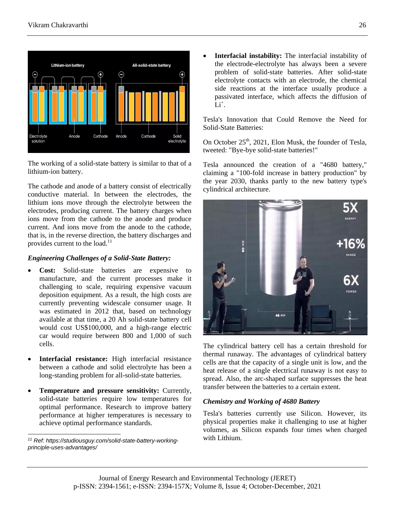

The working of a solid-state battery is similar to that of a lithium-ion battery.

The cathode and anode of a battery consist of electrically conductive material. In between the electrodes, the lithium ions move through the electrolyte between the electrodes, producing current. The battery charges when ions move from the cathode to the anode and produce current. And ions move from the anode to the cathode, that is, in the reverse direction, the battery discharges and provides current to the load.<sup>11</sup>

## *Engineering Challenges of a Solid-State Battery:*

- **Cost:** Solid-state batteries are expensive to manufacture, and the current processes make it challenging to scale, requiring expensive vacuum deposition equipment. As a result, the high costs are currently preventing widescale consumer usage. It was estimated in 2012 that, based on technology available at that time, a 20 Ah solid-state battery cell would cost US\$100,000, and a high-range electric car would require between 800 and 1,000 of such cells.
- **Interfacial resistance:** High interfacial resistance between a cathode and solid electrolyte has been a long-standing problem for all-solid-state batteries.
- **Temperature and pressure sensitivity:** Currently, solid-state batteries require low temperatures for optimal performance. Research to improve battery performance at higher temperatures is necessary to achieve optimal performance standards.

 **Interfacial instability:** The interfacial instability of the electrode-electrolyte has always been a severe problem of solid-state batteries. After solid-state electrolyte contacts with an electrode, the chemical side reactions at the interface usually produce a passivated interface, which affects the diffusion of  $\mathrm{\tilde{L}i^{+}}$ .

Tesla's Innovation that Could Remove the Need for Solid-State Batteries:

On October  $25<sup>th</sup>$ , 2021, Elon Musk, the founder of Tesla, tweeted: "Bye-bye solid-state batteries!"

Tesla announced the creation of a "4680 battery," claiming a "100-fold increase in battery production" by the year 2030, thanks partly to the new battery type's cylindrical architecture.



The cylindrical battery cell has a certain threshold for thermal runaway. The advantages of cylindrical battery cells are that the capacity of a single unit is low, and the heat release of a single electrical runaway is not easy to spread. Also, the arc-shaped surface suppresses the heat transfer between the batteries to a certain extent.

## *Chemistry and Working of 4680 Battery*

Tesla's batteries currently use Silicon. However, its physical properties make it challenging to use at higher volumes, as Silicon expands four times when charged with Lithium.

*<sup>11</sup> Ref: https://studiousguy.com/solid-state-battery-workingprinciple-uses-advantages/*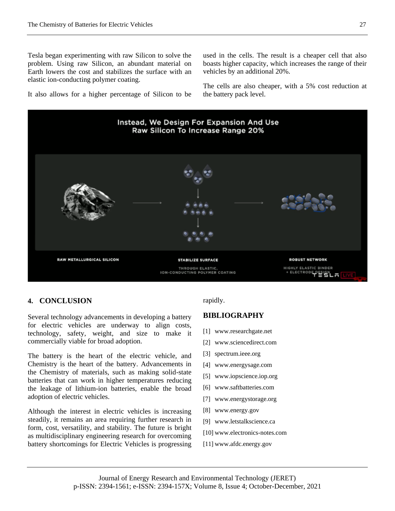Tesla began experimenting with raw Silicon to solve the problem. Using raw Silicon, an abundant material on Earth lowers the cost and stabilizes the surface with an elastic ion-conducting polymer coating.

It also allows for a higher percentage of Silicon to be

used in the cells. The result is a cheaper cell that also boasts higher capacity, which increases the range of their vehicles by an additional 20%.

The cells are also cheaper, with a 5% cost reduction at the battery pack level.



## **4. CONCLUSION**

Several technology advancements in developing a battery for electric vehicles are underway to align costs, technology, safety, weight, and size to make it commercially viable for broad adoption.

The battery is the heart of the electric vehicle, and Chemistry is the heart of the battery. Advancements in the Chemistry of materials, such as making solid-state batteries that can work in higher temperatures reducing the leakage of lithium-ion batteries, enable the broad adoption of electric vehicles.

Although the interest in electric vehicles is increasing steadily, it remains an area requiring further research in form, cost, versatility, and stability. The future is bright as multidisciplinary engineering research for overcoming battery shortcomings for Electric Vehicles is progressing

#### rapidly.

#### **BIBLIOGRAPHY**

- [1] www.researchgate.net
- [2] www.sciencedirect.com
- [3] spectrum.ieee.org
- [4] www.energysage.com
- [5] www.iopscience.iop.org
- [6] www.saftbatteries.com
- [7] www.energystorage.org
- [8] www.energy.gov
- [9] www.letstalkscience.ca
- [10] www.electronics-notes.com
- [11] www.afdc.energy.gov